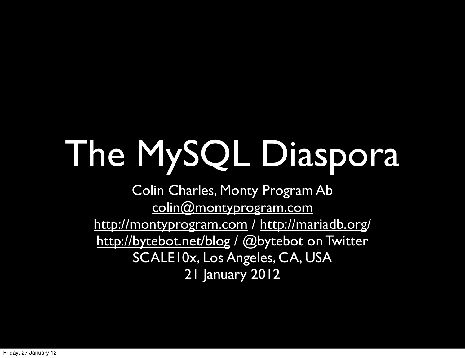# The MySQL Diaspora

Colin Charles, Monty Program Ab [colin@montyprogram.com](mailto:colin@montyprogram.com) [http://montyprogram.com](http://www.montyprogram.com) / [http://mariadb.org/](http://mariadb.org) <http://bytebot.net/blog>/ @bytebot on Twitter SCALE10x, Los Angeles, CA, USA 21 January 2012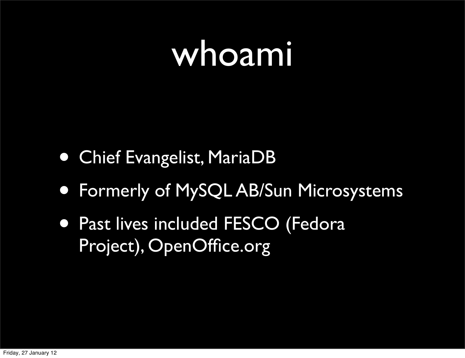#### whoami

- Chief Evangelist, MariaDB
- Formerly of MySQL AB/Sun Microsystems
- Past lives included FESCO (Fedora Project), OpenOffice.org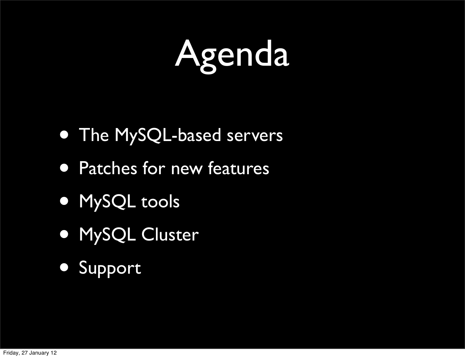## Agenda

- The MySQL-based servers
- Patches for new features
- MySQL tools
- MySQL Cluster
- Support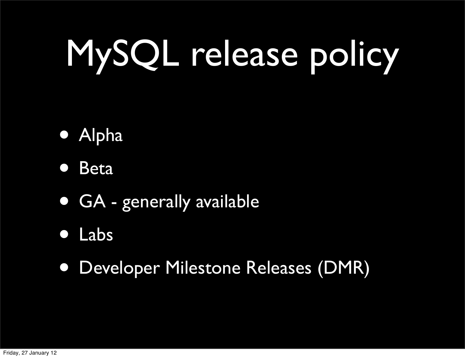# MySQL release policy

- Alpha
- Beta
- GA generally available
- Labs
- Developer Milestone Releases (DMR)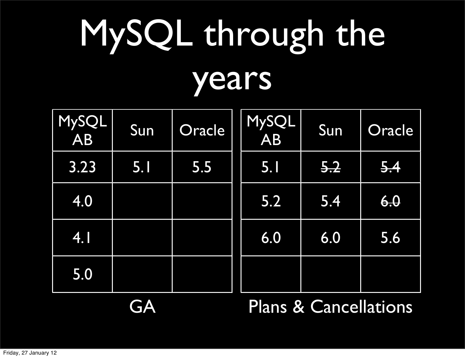#### MySQL through the years

| MySQL<br>AB | Sun        | Oracle | MySQL<br>AB | Sun | Oracle |
|-------------|------------|--------|-------------|-----|--------|
| 3.23        | <b>5.I</b> | 5.5    | <b>5.1</b>  | 5.2 | 5.4    |
| 4.0         |            |        | 5.2         | 5.4 | 6.0    |
| 4.1         |            |        | 6.0         | 6.0 | 5.6    |
| 5.0         |            |        |             |     |        |

GA Plans & Cancellations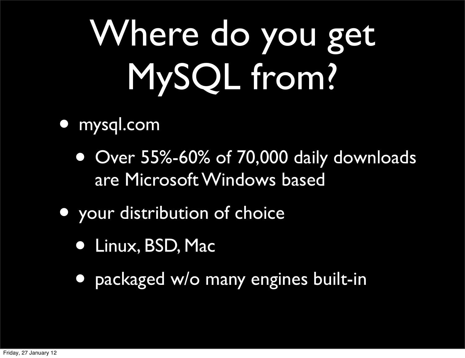## Where do you get MySQL from?

#### • mysql.com

- Over 55%-60% of 70,000 daily downloads are Microsoft Windows based
- your distribution of choice
	- Linux, BSD, Mac
	- packaged w/o many engines built-in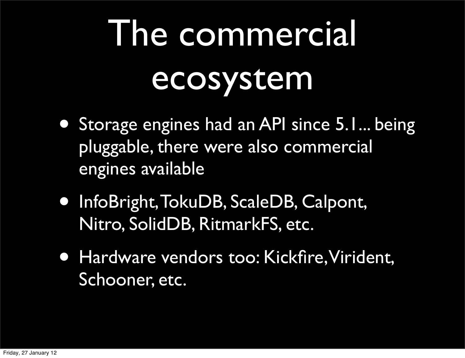## The commercial ecosystem

- Storage engines had an API since 5.1... being pluggable, there were also commercial engines available
- InfoBright, TokuDB, ScaleDB, Calpont, Nitro, SolidDB, RitmarkFS, etc.
- Hardware vendors too: Kickfire, Virident, Schooner, etc.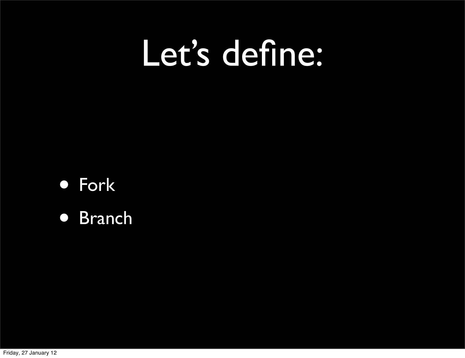#### Let's define:



• Branch

Friday, 27 January 12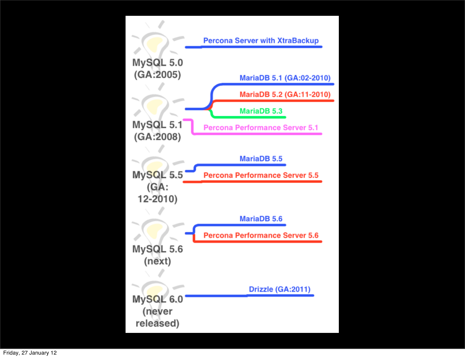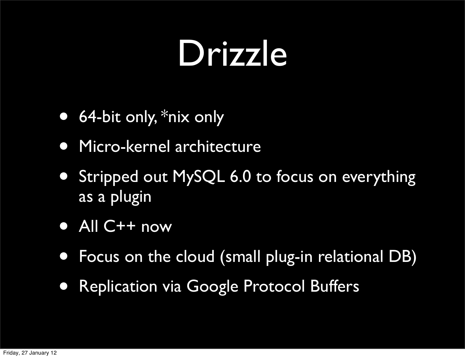#### Drizzle

- 64-bit only, \*nix only
- Micro-kernel architecture
- Stripped out MySQL 6.0 to focus on everything as a plugin
- All C++ now
- Focus on the cloud (small plug-in relational DB)
- Replication via Google Protocol Buffers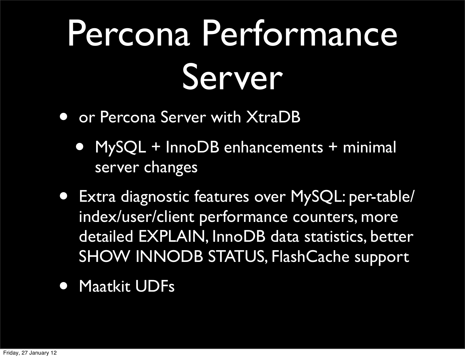### Percona Performance Server

- or Percona Server with XtraDB
	- MySQL + InnoDB enhancements + minimal server changes
- Extra diagnostic features over MySQL: per-table/ index/user/client performance counters, more detailed EXPLAIN, InnoDB data statistics, better SHOW INNODB STATUS, FlashCache support
- Maatkit UDFs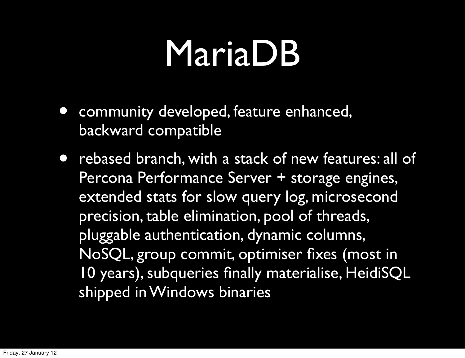#### MariaDB

- community developed, feature enhanced, backward compatible
- rebased branch, with a stack of new features: all of Percona Performance Server + storage engines, extended stats for slow query log, microsecond precision, table elimination, pool of threads, pluggable authentication, dynamic columns, NoSQL, group commit, optimiser fixes (most in 10 years), subqueries finally materialise, HeidiSQL shipped in Windows binaries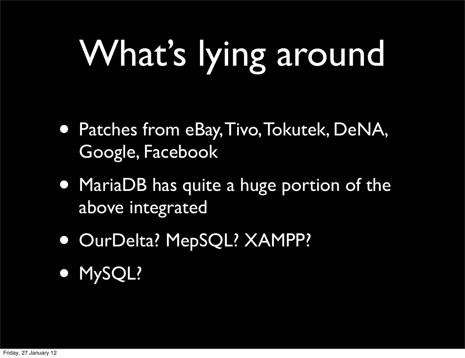# What's lying around

- Patches from eBay, Tivo, Tokutek, DeNA, Google, Facebook
- MariaDB has quite a huge portion of the above integrated
- OurDelta? MepSQL? XAMPP?
- MySQL?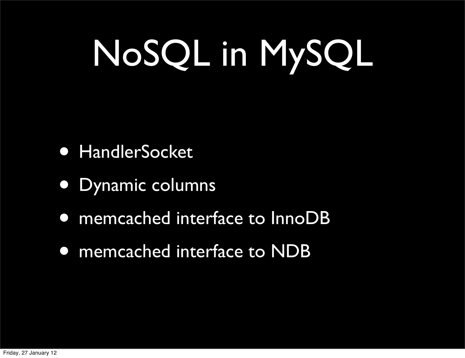## NoSQL in MySQL

- HandlerSocket
- Dynamic columns
- memcached interface to InnoDB
- memcached interface to NDB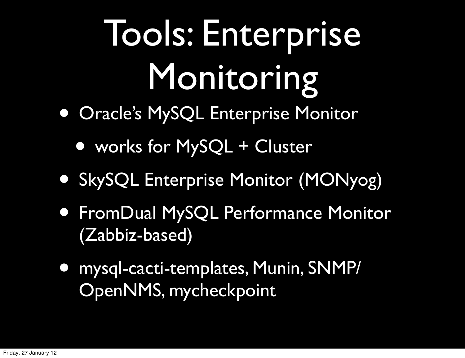# Tools: Enterprise Monitoring

- Oracle's MySQL Enterprise Monitor
	- works for MySQL + Cluster
- SkySQL Enterprise Monitor (MONyog)
- FromDual MySQL Performance Monitor (Zabbiz-based)
- mysql-cacti-templates, Munin, SNMP/ OpenNMS, mycheckpoint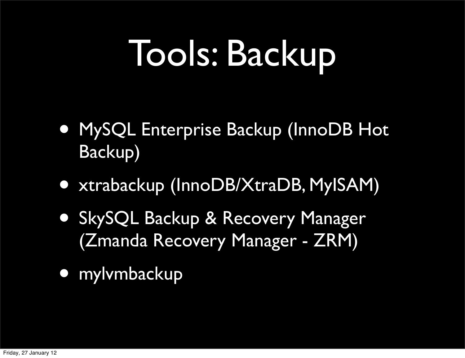#### Tools: Backup

- MySQL Enterprise Backup (InnoDB Hot Backup)
- xtrabackup (InnoDB/XtraDB, MyISAM)
- SkySQL Backup & Recovery Manager (Zmanda Recovery Manager - ZRM)
- mylvmbackup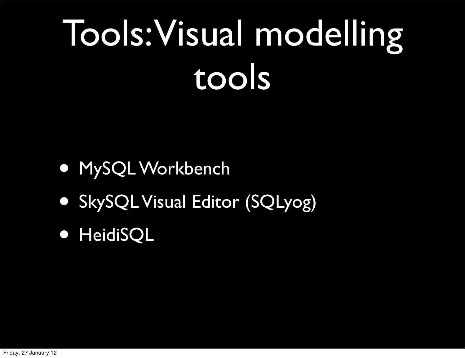## Tools: Visual modelling tools

- MySQL Workbench
- SkySQL Visual Editor (SQLyog)
- HeidiSQL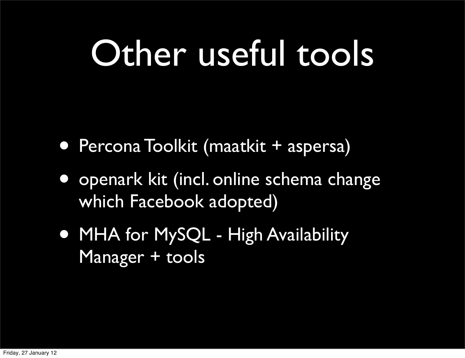#### Other useful tools

- Percona Toolkit (maatkit + aspersa)
- openark kit (incl. online schema change which Facebook adopted)
- MHA for MySQL High Availability Manager + tools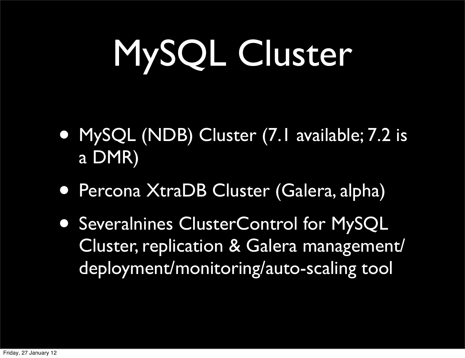## MySQL Cluster

- MySQL (NDB) Cluster (7.1 available; 7.2 is a DMR)
- Percona XtraDB Cluster (Galera, alpha)
- Severalnines ClusterControl for MySQL Cluster, replication & Galera management/ deployment/monitoring/auto-scaling tool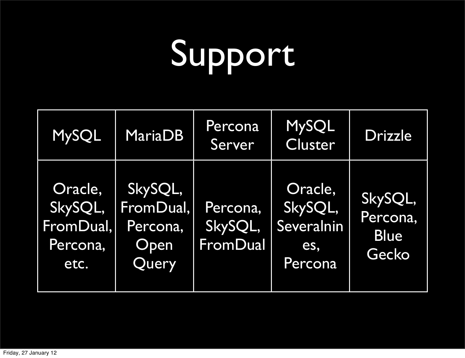# Support

| <b>MySQL</b>                                        | <b>MariaDB</b>                                    | Percona<br>Server               | <b>MySQL</b><br>Cluster                            | Drizzle                                     |
|-----------------------------------------------------|---------------------------------------------------|---------------------------------|----------------------------------------------------|---------------------------------------------|
| Oracle,<br>SkySQL,<br>FromDual,<br>Percona,<br>etc. | SkySQL,<br>FromDual,<br>Percona,<br>Open<br>Query | Percona,<br>SkySQL,<br>FromDual | Oracle,<br>SkySQL,<br>Severalnin<br>es,<br>Percona | SkySQL,<br>Percona,<br><b>Blue</b><br>Gecko |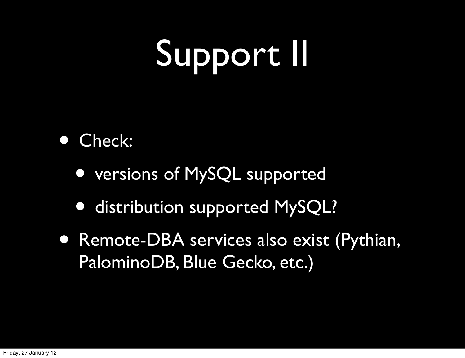## Support II

#### • Check:

- versions of MySQL supported
- **distribution supported MySQL?**
- Remote-DBA services also exist (Pythian, PalominoDB, Blue Gecko, etc.)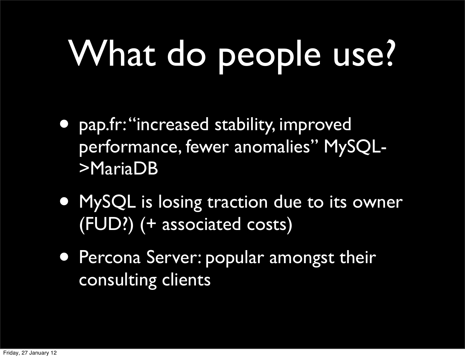# What do people use?

- pap.fr: "increased stability, improved performance, fewer anomalies" MySQL->MariaDB
- MySQL is losing traction due to its owner (FUD?) (+ associated costs)
- Percona Server: popular amongst their consulting clients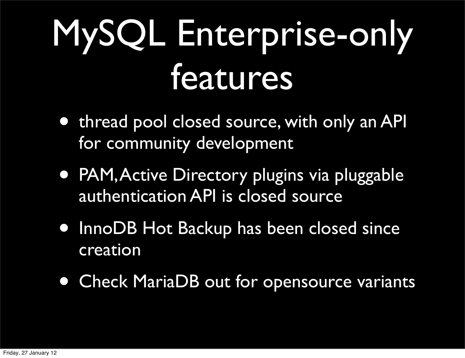### MySQL Enterprise-only features

- thread pool closed source, with only an API for community development
- PAM, Active Directory plugins via pluggable authentication API is closed source
- InnoDB Hot Backup has been closed since creation
- Check MariaDB out for opensource variants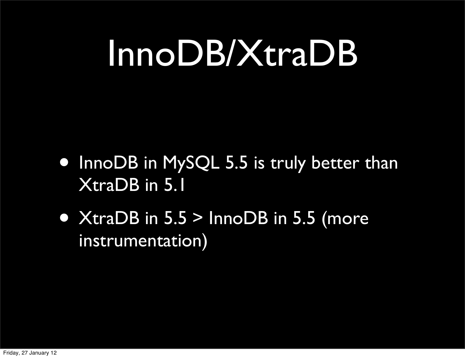#### InnoDB/XtraDB

- InnoDB in MySQL 5.5 is truly better than XtraDB in 5.1
- XtraDB in 5.5 > InnoDB in 5.5 (more instrumentation)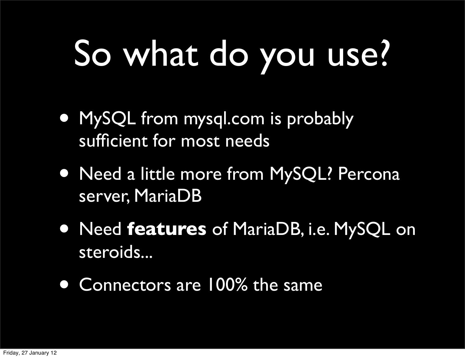#### So what do you use?

- MySQL from mysql.com is probably sufficient for most needs
- Need a little more from MySQL? Percona server, MariaDB
- Need **features** of MariaDB, i.e. MySQL on steroids...
- Connectors are 100% the same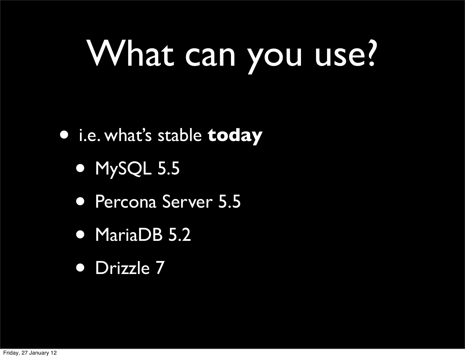### What can you use?

#### • i.e. what's stable **today**

- MySQL 5.5
- Percona Server 5.5
- MariaDB 5.2
- Drizzle 7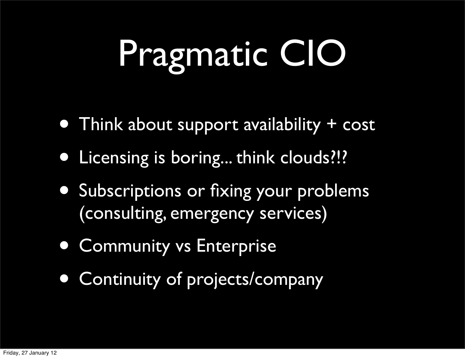### Pragmatic CIO

- Think about support availability + cost
- Licensing is boring... think clouds?!?
- Subscriptions or fixing your problems (consulting, emergency services)
- Community vs Enterprise
- Continuity of projects/company